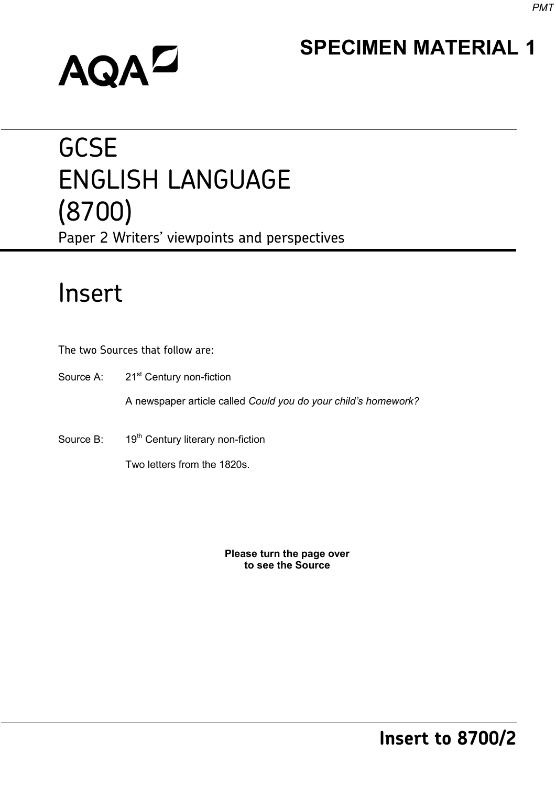### **SPECIMEN MATERIAL 1**

# **AQAL**

## **GCSE** ENGLISH LANGUAGE (8700) Paper 2 Writers' viewpoints and perspectives

## Insert

The two Sources that follow are:

Source A: 21<sup>st</sup> Century non-fiction

A newspaper article called *Could you do your child's homework?* 

Source B: 19<sup>th</sup> Century literary non-fiction

Two letters from the 1820s.

**Please turn the page over to see the Source**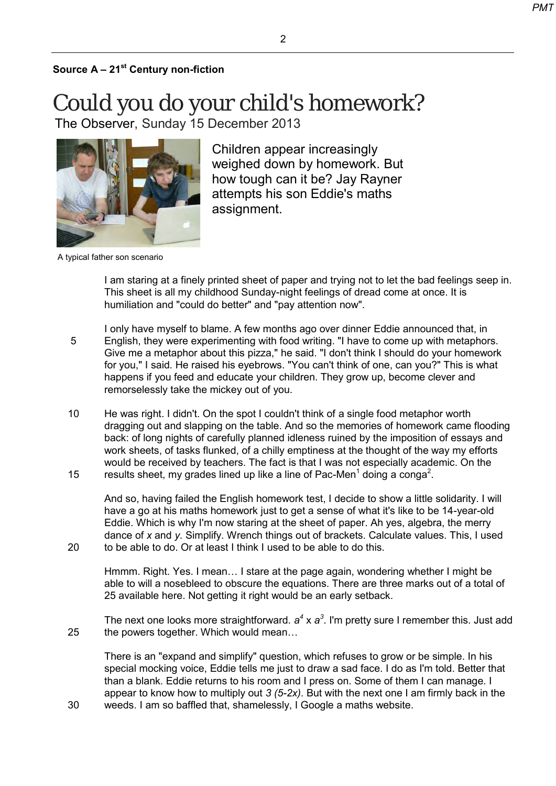#### $\mathfrak{p}$

#### **Source A – 21st Century non-fiction**

Could you do your child's homework? [The Observer,](http://observer.guardian.co.uk/) Sunday 15 December 2013



Children appear increasingly weighed down by homework. But how tough can it be? Jay Rayner attempts his son Eddie's maths assignment.

A typical father son scenario

20

I am staring at a finely printed sheet of paper and trying not to let the bad feelings seep in. This sheet is all my childhood Sunday-night feelings of dread come at once. It is humiliation and "could do better" and "pay attention now".

- 5 I only have myself to blame. A few months ago over dinner Eddie announced that, in English, they were experimenting with food writing. "I have to come up with metaphors. Give me a metaphor about this pizza," he said. "I don't think I should do your homework for you," I said. He raised his eyebrows. "You can't think of one, can you?" This is what happens if you feed and educate your children. They grow up, become clever and remorselessly take the mickey out of you.
- 10 15 He was right. I didn't. On the spot I couldn't think of a single food metaphor worth dragging out and slapping on the table. And so the memories of homework came flooding back: of long nights of carefully planned idleness ruined by the imposition of essays and work sheets, of tasks flunked, of a chilly emptiness at the thought of the way my efforts would be received by teachers. The fact is that I was not especially academic. On the results sheet, my grades lined up like a line of Pac-Men $^{\rm 1}$  doing a conga $^{\rm 2}.$

And so, having failed the English homework test, I decide to show a little solidarity. I will have a go at his maths homework just to get a sense of what it's like to be 14-year-old Eddie. Which is why I'm now staring at the sheet of paper. Ah yes, algebra, the merry dance of *x* and *y*. Simplify. Wrench things out of brackets. Calculate values. This, I used to be able to do. Or at least I think I used to be able to do this.

Hmmm. Right. Yes. I mean… I stare at the page again, wondering whether I might be able to will a nosebleed to obscure the equations. There are three marks out of a total of 25 available here. Not getting it right would be an early setback.

25 The next one looks more straightforward.  $a^4$  x  $a^3$ . I'm pretty sure I remember this. Just add the powers together. Which would mean…

There is an "expand and simplify" question, which refuses to grow or be simple. In his special mocking voice, Eddie tells me just to draw a sad face. I do as I'm told. Better that than a blank. Eddie returns to his room and I press on. Some of them I can manage. I appear to know how to multiply out *3 (5-2x)*. But with the next one I am firmly back in the weeds. I am so baffled that, shamelessly, I Google a maths website.

30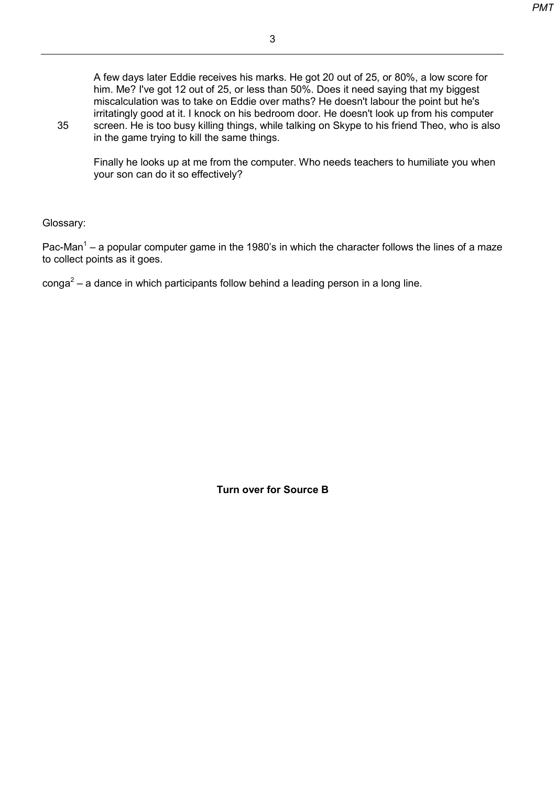3

A few days later Eddie receives his marks. He got 20 out of 25, or 80%, a low score for him. Me? I've got 12 out of 25, or less than 50%. Does it need saying that my biggest miscalculation was to take on Eddie over maths? He doesn't labour the point but he's irritatingly good at it. I knock on his bedroom door. He doesn't look up from his computer screen. He is too busy killing things, while talking on Skype to his friend Theo, who is also in the game trying to kill the same things.

Finally he looks up at me from the computer. Who needs teachers to humiliate you when your son can do it so effectively?

Glossary:

35

Pac-Man<sup>1</sup> – a popular computer game in the 1980's in which the character follows the lines of a maze to collect points as it goes.

 $\text{conga}^2$  – a dance in which participants follow behind a leading person in a long line.

**Turn over for Source B**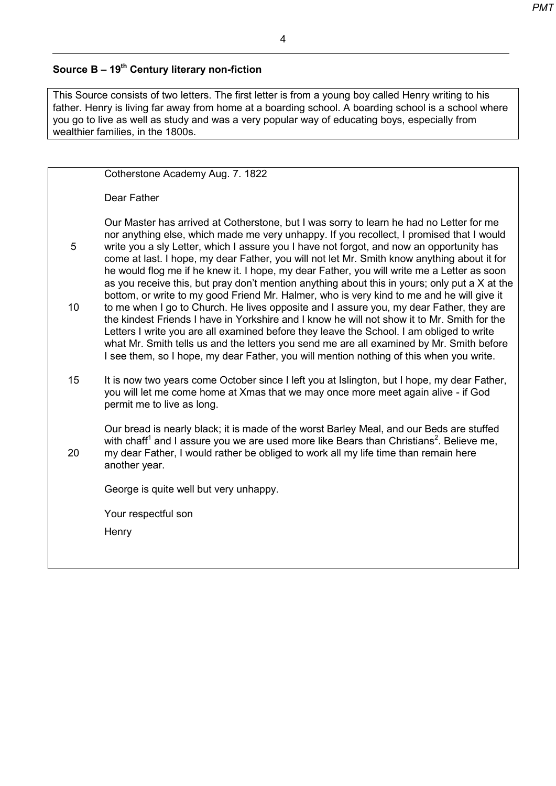#### 4

#### **Source B – 19th Century literary non-fiction**

This Source consists of two letters. The first letter is from a young boy called Henry writing to his father. Henry is living far away from home at a boarding school. A boarding school is a school where you go to live as well as study and was a very popular way of educating boys, especially from wealthier families, in the 1800s.

|    | Cotherstone Academy Aug. 7. 1822                                                                                                                                                                                                                                                                                                                                                                                                                                                                                                                                       |
|----|------------------------------------------------------------------------------------------------------------------------------------------------------------------------------------------------------------------------------------------------------------------------------------------------------------------------------------------------------------------------------------------------------------------------------------------------------------------------------------------------------------------------------------------------------------------------|
|    | Dear Father                                                                                                                                                                                                                                                                                                                                                                                                                                                                                                                                                            |
| 5  | Our Master has arrived at Cotherstone, but I was sorry to learn he had no Letter for me<br>nor anything else, which made me very unhappy. If you recollect, I promised that I would<br>write you a sly Letter, which I assure you I have not forgot, and now an opportunity has                                                                                                                                                                                                                                                                                        |
|    | come at last. I hope, my dear Father, you will not let Mr. Smith know anything about it for<br>he would flog me if he knew it. I hope, my dear Father, you will write me a Letter as soon<br>as you receive this, but pray don't mention anything about this in yours; only put a X at the                                                                                                                                                                                                                                                                             |
| 10 | bottom, or write to my good Friend Mr. Halmer, who is very kind to me and he will give it<br>to me when I go to Church. He lives opposite and I assure you, my dear Father, they are<br>the kindest Friends I have in Yorkshire and I know he will not show it to Mr. Smith for the<br>Letters I write you are all examined before they leave the School. I am obliged to write<br>what Mr. Smith tells us and the letters you send me are all examined by Mr. Smith before<br>I see them, so I hope, my dear Father, you will mention nothing of this when you write. |
| 15 | It is now two years come October since I left you at Islington, but I hope, my dear Father,<br>you will let me come home at Xmas that we may once more meet again alive - if God<br>permit me to live as long.                                                                                                                                                                                                                                                                                                                                                         |
| 20 | Our bread is nearly black; it is made of the worst Barley Meal, and our Beds are stuffed<br>with chaff <sup>1</sup> and I assure you we are used more like Bears than Christians <sup>2</sup> . Believe me,<br>my dear Father, I would rather be obliged to work all my life time than remain here<br>another year.                                                                                                                                                                                                                                                    |
|    | George is quite well but very unhappy.                                                                                                                                                                                                                                                                                                                                                                                                                                                                                                                                 |
|    | Your respectful son                                                                                                                                                                                                                                                                                                                                                                                                                                                                                                                                                    |
|    | Henry                                                                                                                                                                                                                                                                                                                                                                                                                                                                                                                                                                  |
|    |                                                                                                                                                                                                                                                                                                                                                                                                                                                                                                                                                                        |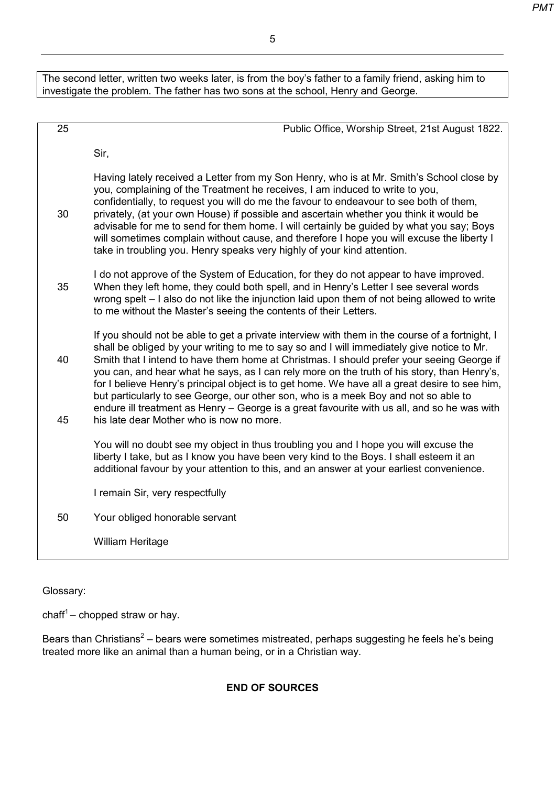The second letter, written two weeks later, is from the boy's father to a family friend, asking him to investigate the problem. The father has two sons at the school, Henry and George.

| 25       | Public Office, Worship Street, 21st August 1822.                                                                                                                                                                                                                                                                                                                                                                                                                                                                                                                                                                                                                                                                            |
|----------|-----------------------------------------------------------------------------------------------------------------------------------------------------------------------------------------------------------------------------------------------------------------------------------------------------------------------------------------------------------------------------------------------------------------------------------------------------------------------------------------------------------------------------------------------------------------------------------------------------------------------------------------------------------------------------------------------------------------------------|
|          | Sir,                                                                                                                                                                                                                                                                                                                                                                                                                                                                                                                                                                                                                                                                                                                        |
| 30       | Having lately received a Letter from my Son Henry, who is at Mr. Smith's School close by<br>you, complaining of the Treatment he receives, I am induced to write to you,<br>confidentially, to request you will do me the favour to endeavour to see both of them,<br>privately, (at your own House) if possible and ascertain whether you think it would be<br>advisable for me to send for them home. I will certainly be guided by what you say; Boys<br>will sometimes complain without cause, and therefore I hope you will excuse the liberty I<br>take in troubling you. Henry speaks very highly of your kind attention.                                                                                            |
| 35       | I do not approve of the System of Education, for they do not appear to have improved.<br>When they left home, they could both spell, and in Henry's Letter I see several words<br>wrong spelt - I also do not like the injunction laid upon them of not being allowed to write<br>to me without the Master's seeing the contents of their Letters.                                                                                                                                                                                                                                                                                                                                                                          |
| 40<br>45 | If you should not be able to get a private interview with them in the course of a fortnight, I<br>shall be obliged by your writing to me to say so and I will immediately give notice to Mr.<br>Smith that I intend to have them home at Christmas. I should prefer your seeing George if<br>you can, and hear what he says, as I can rely more on the truth of his story, than Henry's,<br>for I believe Henry's principal object is to get home. We have all a great desire to see him,<br>but particularly to see George, our other son, who is a meek Boy and not so able to<br>endure ill treatment as Henry - George is a great favourite with us all, and so he was with<br>his late dear Mother who is now no more. |
|          | You will no doubt see my object in thus troubling you and I hope you will excuse the<br>liberty I take, but as I know you have been very kind to the Boys. I shall esteem it an<br>additional favour by your attention to this, and an answer at your earliest convenience.                                                                                                                                                                                                                                                                                                                                                                                                                                                 |
|          | I remain Sir, very respectfully                                                                                                                                                                                                                                                                                                                                                                                                                                                                                                                                                                                                                                                                                             |
| 50       | Your obliged honorable servant                                                                                                                                                                                                                                                                                                                                                                                                                                                                                                                                                                                                                                                                                              |
|          | <b>William Heritage</b>                                                                                                                                                                                                                                                                                                                                                                                                                                                                                                                                                                                                                                                                                                     |
|          |                                                                                                                                                                                                                                                                                                                                                                                                                                                                                                                                                                                                                                                                                                                             |

Glossary:

 $\text{chaff}^1$  – chopped straw or hay.

Bears than Christians<sup>2</sup> – bears were sometimes mistreated, perhaps suggesting he feels he's being treated more like an animal than a human being, or in a Christian way.

#### **END OF SOURCES**